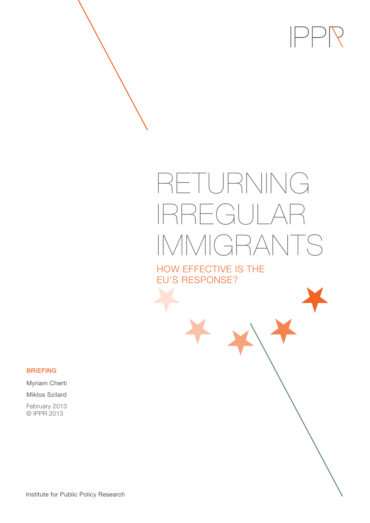

# RETURNING IRREGULAR IMMIGRANTS

HOW EFFECTIVE IS THE EU'S RESPONSE?

BRIEFING

Myriam Cherti

Miklos Szilard

February 2013 © IPPR 2013

Institute for Public Policy Research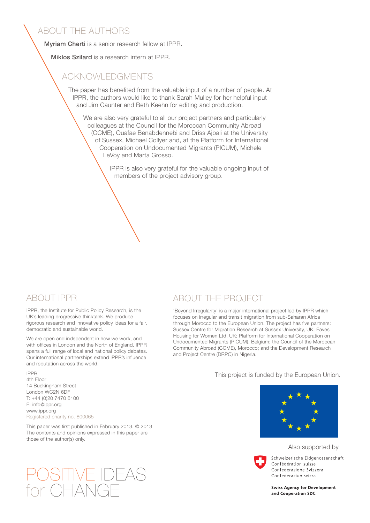### ABOUT THE AUTHORS

Myriam Cherti is a senior research fellow at IPPR.

Miklos Szilard is a research intern at IPPR.

### ACKNOWLEDGMENTS

The paper has benefited from the valuable input of a number of people. At IPPR, the authors would like to thank Sarah Mulley for her helpful input and Jim Caunter and Beth Keehn for editing and production.

We are also very grateful to all our project partners and particularly colleagues at the Council for the Moroccan Community Abroad (CCME), Ouafae Benabdennebi and Driss Ajbali at the University of Sussex, Michael Collyer and, at the Platform for International Cooperation on Undocumented Migrants (PICUM), Michele LeVoy and Marta Grosso.

> IPPR is also very grateful for the valuable ongoing input of members of the project advisory group.

### ABOUT IPPR

IPPR, the Institute for Public Policy Research, is the UK's leading progressive thinktank. We produce rigorous research and innovative policy ideas for a fair, democratic and sustainable world.

We are open and independent in how we work, and with offices in London and the North of England, IPPR spans a full range of local and national policy debates. Our international partnerships extend IPPR's influence and reputation across the world.

IPPR 4th Floor 14 Buckingham Street London WC2N 6DF T: +44 (0)20 7470 6100 E: info@ippr.org www.ippr.org Registered charity no. 800065

#### This paper was first published in February 2013. © 2013 The contents and opinions expressed in this paper are those of the author(s) only.

## POSITIVE IDEAS for CHANGE

### ABOUT THE PROJECT

'Beyond Irregularity' is a major international project led by IPPR which focuses on irregular and transit migration from sub-Saharan Africa through Morocco to the European Union. The project has five partners: Sussex Centre for Migration Research at Sussex University, UK; Eaves Housing for Women Ltd, UK; Platform for International Cooperation on Undocumented Migrants (PICUM), Belgium; the Council of the Moroccan Community Abroad (CCME), Morocco; and the Development Research and Project Centre (DRPC) in Nigeria.

This project is funded by the European Union.



#### Also supported by



Schweizerische Eidgenossenschaft Confédération suisse Confederazione Svizzera Confederaziun svizra

**Swiss Agency for Development** and Cooperation SDC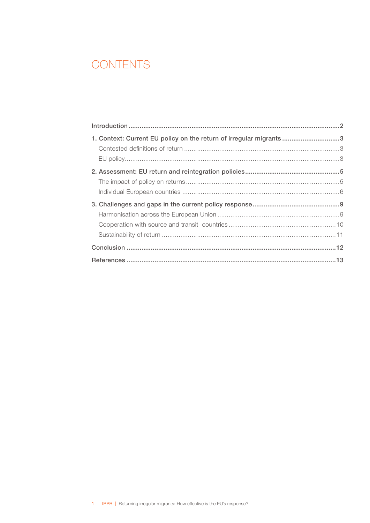### **CONTENTS**

| 1. Context: Current EU policy on the return of irregular migrants 3 |  |
|---------------------------------------------------------------------|--|
|                                                                     |  |
|                                                                     |  |
|                                                                     |  |
|                                                                     |  |
|                                                                     |  |
|                                                                     |  |
|                                                                     |  |
|                                                                     |  |
|                                                                     |  |
|                                                                     |  |
|                                                                     |  |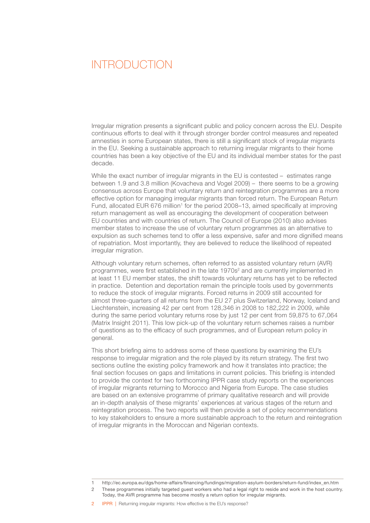### <span id="page-3-0"></span> INTRODUCTION

Irregular migration presents a significant public and policy concern across the EU. Despite continuous efforts to deal with it through stronger border control measures and repeated amnesties in some European states, there is still a significant stock of irregular migrants in the EU. Seeking a sustainable approach to returning irregular migrants to their home countries has been a key objective of the EU and its individual member states for the past decade.

While the exact number of irregular migrants in the EU is contested – estimates range between 1.9 and 3.8 million (Kovacheva and Vogel 2009) – there seems to be a growing consensus across Europe that voluntary return and reintegration programmes are a more effective option for managing irregular migrants than forced return. The European Return Fund, allocated EUR 676 million<sup>1</sup> for the period 2008–13, aimed specifically at improving return management as well as encouraging the development of cooperation between EU countries and with countries of return. The Council of Europe (2010) also advises member states to increase the use of voluntary return programmes as an alternative to expulsion as such schemes tend to offer a less expensive, safer and more dignified means of repatriation. Most importantly, they are believed to reduce the likelihood of repeated irregular migration.

Although voluntary return schemes, often referred to as assisted voluntary return (AVR) programmes, were first established in the late 1970s<sup>2</sup> and are currently implemented in at least 11 EU member states, the shift towards voluntary returns has yet to be reflected in practice. Detention and deportation remain the principle tools used by governments to reduce the stock of irregular migrants. Forced returns in 2009 still accounted for almost three-quarters of all returns from the EU 27 plus Switzerland, Norway, Iceland and Liechtenstein, increasing 42 per cent from 128,346 in 2008 to 182,222 in 2009, while during the same period voluntary returns rose by just 12 per cent from 59,875 to 67,064 (Matrix Insight 2011). This low pick-up of the voluntary return schemes raises a number of questions as to the efficacy of such programmes, and of European return policy in general.

This short briefing aims to address some of these questions by examining the EU's response to irregular migration and the role played by its return strategy. The first two sections outline the existing policy framework and how it translates into practice; the final section focuses on gaps and limitations in current policies. This briefing is intended to provide the context for two forthcoming IPPR case study reports on the experiences of irregular migrants returning to Morocco and Nigeria from Europe. The case studies are based on an extensive programme of primary qualitative research and will provide an in-depth analysis of these migrants' experiences at various stages of the return and reintegration process. The two reports will then provide a set of policy recommendations to key stakeholders to ensure a more sustainable approach to the return and reintegration of irregular migrants in the Moroccan and Nigerian contexts.

<sup>1</sup>  [http://ec.europa.eu/dgs/home-affairs/financing/fundings/migration-asylum-borders/return-fund/index\\_en.htm](http://ec.europa.eu/dgs/home-affairs/financing/fundings/migration-asylum-borders/return-fund/index_en.htm )

<sup>2</sup> These programmes initially targeted guest workers who had a legal right to reside and work in the host country. Today, the AVR programme has become mostly a return option for irregular migrants.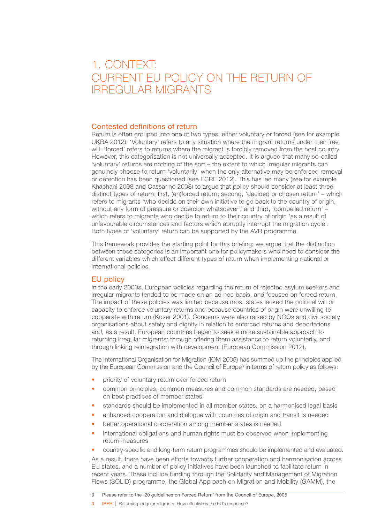### <span id="page-4-0"></span> 1. CONTEXT: CURRENT EU POLICY ON THE RETURN OF IRREGULAR MIGRANTS

### Contested definitions of return

Return is often grouped into one of two types: either voluntary or forced (see for example UKBA 2012). 'Voluntary' refers to any situation where the migrant returns under their free will; 'forced' refers to returns where the migrant is forcibly removed from the host country. However, this categorisation is not universally accepted. It is argued that many so-called 'voluntary' returns are nothing of the sort – the extent to which irregular migrants can genuinely choose to return 'voluntarily' when the only alternative may be enforced removal or detention has been questioned (see ECRE 2012). This has led many (see for example Khachani 2008 and Cassarino 2008) to argue that policy should consider at least three distinct types of return: first, (en)forced return; second, 'decided or chosen return' – which refers to migrants 'who decide on their own initiative to go back to the country of origin, without any form of pressure or coercion whatsoever'; and third, 'compelled return' – which refers to migrants who decide to return to their country of origin 'as a result of unfavourable circumstances and factors which abruptly interrupt the migration cycle'. Both types of 'voluntary' return can be supported by the AVR programme.

This framework provides the starting point for this briefing; we argue that the distinction between these categories is an important one for policymakers who need to consider the different variables which affect different types of return when implementing national or international policies.

### EU policy

In the early 2000s, European policies regarding the return of rejected asylum seekers and irregular migrants tended to be made on an ad hoc basis, and focused on forced return. The impact of these policies was limited because most states lacked the political will or capacity to enforce voluntary returns and because countries of origin were unwilling to cooperate with return (Koser 2001). Concerns were also raised by NGOs and civil society organisations about safety and dignity in relation to enforced returns and deportations and, as a result, European countries began to seek a more sustainable approach to returning irregular migrants: through offering them assistance to return voluntarily, and through linking reintegration with development (European Commission 2012).

The International Organisation for Migration (IOM 2005) has summed up the principles applied by the European Commission and the Council of Europe<sup>3</sup> in terms of return policy as follows:

- priority of voluntary return over forced return
- common principles, common measures and common standards are needed, based on best practices of member states
- standards should be implemented in all member states, on a harmonised legal basis
- enhanced cooperation and dialogue with countries of origin and transit is needed
- better operational cooperation among member states is needed
- international obligations and human rights must be observed when implementing return measures
- country-specific and long-term return programmes should be implemented and evaluated.

As a result, there have been efforts towards further cooperation and harmonisation across EU states, and a number of policy initiatives have been launched to facilitate return in recent years. These include funding through the Solidarity and Management of Migration Flows (SOLID) programme, the Global Approach on Migration and Mobility (GAMM), the

3 IPPR | Returning irregular migrants: How effective is the EU's response?

<sup>3</sup> Please refer to the '20 guidelines on Forced Return' from the Council of Europe, 2005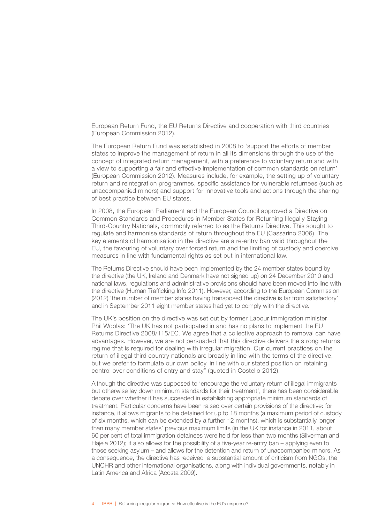European Return Fund, the EU Returns Directive and cooperation with third countries (European Commission 2012).

The European Return Fund was established in 2008 to 'support the efforts of member states to improve the management of return in all its dimensions through the use of the concept of integrated return management, with a preference to voluntary return and with a view to supporting a fair and effective implementation of common standards on return' (European Commission 2012). Measures include, for example, the setting up of voluntary return and reintegration programmes, specific assistance for vulnerable returnees (such as unaccompanied minors) and support for innovative tools and actions through the sharing of best practice between EU states.

In 2008, the European Parliament and the European Council approved a Directive on Common Standards and Procedures in Member States for Returning Illegally Staying Third-Country Nationals, commonly referred to as the Returns Directive. This sought to regulate and harmonise standards of return throughout the EU (Cassarino 2006). The key elements of harmonisation in the directive are a re-entry ban valid throughout the EU, the favouring of voluntary over forced return and the limiting of custody and coercive measures in line with fundamental rights as set out in international law.

The Returns Directive should have been implemented by the 24 member states bound by the directive (the UK, Ireland and Denmark have not signed up) on 24 December 2010 and national laws, regulations and administrative provisions should have been moved into line with the directive (Human Trafficking Info 2011). However, according to the European Commission (2012) 'the number of member states having transposed the directive is far from satisfactory' and in September 2011 eight member states had yet to comply with the directive.

The UK's position on the directive was set out by former Labour immigration minister Phil Woolas: 'The UK has not participated in and has no plans to implement the EU Returns Directive 2008/115/EC. We agree that a collective approach to removal can have advantages. However, we are not persuaded that this directive delivers the strong returns regime that is required for dealing with irregular migration. Our current practices on the return of illegal third country nationals are broadly in line with the terms of the directive, but we prefer to formulate our own policy, in line with our stated position on retaining control over conditions of entry and stay" (quoted in Costello 2012).

Although the directive was supposed to 'encourage the voluntary return of illegal immigrants but otherwise lay down minimum standards for their treatment', there has been considerable debate over whether it has succeeded in establishing appropriate minimum standards of treatment. Particular concerns have been raised over certain provisions of the directive: for instance, it allows migrants to be detained for up to 18 months (a maximum period of custody of six months, which can be extended by a further 12 months), which is substantially longer than many member states' previous maximum limits (in the UK for instance in 2011, about 60 per cent of total immigration detainees were held for less than two months (Silverman and Hajela 2012); it also allows for the possibility of a five-year re-entry ban – applying even to those seeking asylum – and allows for the detention and return of unaccompanied minors. As a consequence, the directive has received a substantial amount of criticism from NGOs, the UNCHR and other international organisations, along with individual governments, notably in Latin America and Africa (Acosta 2009).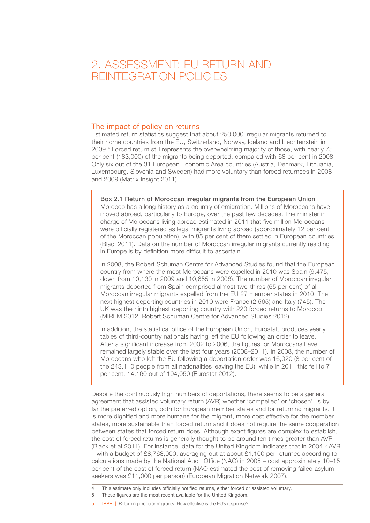### <span id="page-6-0"></span> 2. ASSESSMENT: EU RETURN AND REINTEGRATION POLICIES

### The impact of policy on returns

Estimated return statistics suggest that about 250,000 irregular migrants returned to their home countries from the EU, Switzerland, Norway, Iceland and Liechtenstein in 2009.4 Forced return still represents the overwhelming majority of those, with nearly 75 per cent (183,000) of the migrants being deported, compared with 68 per cent in 2008. Only six out of the 31 European Economic Area countries (Austria, Denmark, Lithuania, Luxembourg, Slovenia and Sweden) had more voluntary than forced returnees in 2008 and 2009 (Matrix Insight 2011).

Box 2.1 Return of Moroccan irregular migrants from the European Union Morocco has a long history as a country of emigration. Millions of Moroccans have moved abroad, particularly to Europe, over the past few decades. The minister in charge of Moroccans living abroad estimated in 2011 that five million Moroccans were officially registered as legal migrants living abroad (approximately 12 per cent of the Moroccan population), with 85 per cent of them settled in European countries (Bladi 2011). Data on the number of Moroccan irregular migrants currently residing in Europe is by definition more difficult to ascertain.

In 2008, the Robert Schuman Centre for Advanced Studies found that the European country from where the most Moroccans were expelled in 2010 was Spain (9,475, down from 10,130 in 2009 and 10,655 in 2008). The number of Moroccan irregular migrants deported from Spain comprised almost two-thirds (65 per cent) of all Moroccan irregular migrants expelled from the EU 27 member states in 2010. The next highest deporting countries in 2010 were France (2,565) and Italy (745). The UK was the ninth highest deporting country with 220 forced returns to Morocco (MIREM 2012, Robert Schuman Centre for Advanced Studies 2012).

In addition, the statistical office of the European Union, Eurostat, produces yearly tables of third-country nationals having left the EU following an order to leave. After a significant increase from 2002 to 2006, the figures for Moroccans have remained largely stable over the last four years (2008–2011). In 2008, the number of Moroccans who left the EU following a deportation order was 16,020 (8 per cent of the 243,110 people from all nationalities leaving the EU), while in 2011 this fell to 7 per cent, 14,160 out of 194,050 (Eurostat 2012).

Despite the continuously high numbers of deportations, there seems to be a general agreement that assisted voluntary return (AVR) whether 'compelled' or 'chosen', is by far the preferred option, both for European member states and for returning migrants. It is more dignified and more humane for the migrant, more cost effective for the member states, more sustainable than forced return and it does not require the same cooperation between states that forced return does. Although exact figures are complex to establish, the cost of forced returns is generally thought to be around ten times greater than AVR (Black et al 2011). For instance, data for the United Kingdom indicates that in 2004,<sup>5</sup> AVR – with a budget of £8,768,000, averaging out at about £1,100 per returnee according to calculations made by the National Audit Office (NAO) in 2005 – cost approximately 10–15 per cent of the cost of forced return (NAO estimated the cost of removing failed asylum seekers was £11,000 per person) (European Migration Network 2007).

- 5 These figures are the most recent available for the United Kingdom.
- 5 IPPR | Returning irregular migrants: How effective is the EU's response?

This estimate only includes officially notified returns, either forced or assisted voluntary.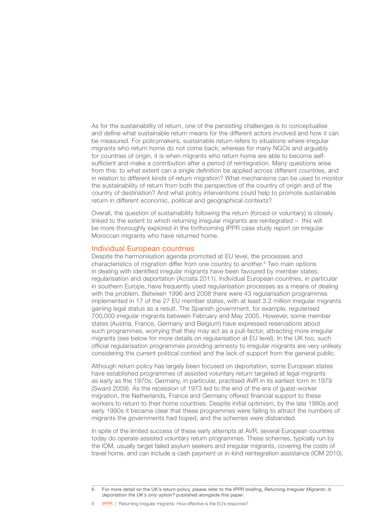<span id="page-7-0"></span>As for the sustainability of return, one of the persisting challenges is to conceptualise and define what sustainable return means for the different actors involved and how it can be measured. For policymakers, sustainable return refers to situations where irregular migrants who return home do not come back; whereas for many NGOs and arguably for countries of origin, it is when migrants who return home are able to become selfsufficient and make a contribution after a period of reintegration. Many questions arise from this: to what extent can a single definition be applied across different countries, and in relation to different kinds of return migration? What mechanisms can be used to monitor the sustainability of return from both the perspective of the country of origin and of the country of destination? And what policy interventions could help to promote sustainable return in different economic, political and geographical contexts?

Overall, the question of sustainability following the return (forced or voluntary) is closely linked to the extent to which returning irregular migrants are reintegrated – this will be more thoroughly explored in the forthcoming IPPR case study report on irregular Moroccan migrants who have returned home.

#### Individual European countries

Despite the harmonisation agenda promoted at EU level, the processes and characteristics of migration differ from one country to another.<sup>6</sup> Two main options in dealing with identified irregular migrants have been favoured by member states: regularisation and deportation (Acosta 2011). Individual European countries, in particular in southern Europe, have frequently used regularisation processes as a means of dealing with the problem. Between 1996 and 2008 there were 43 regularisation programmes implemented in 17 of the 27 EU member states, with at least 3.2 million irregular migrants gaining legal status as a result. The Spanish government, for example, regularised 700,000 irregular migrants between February and May 2005. However, some member states (Austria, France, Germany and Belgium) have expressed reservations about such programmes, worrying that they may act as a pull-factor, attracting more irregular migrants (see below for more details on regularisation at EU level). In the UK too, such official regularisation programmes providing amnesty to irregular migrants are very unlikely considering the current political context and the lack of support from the general public.

Although return policy has largely been focused on deportation, some European states have established programmes of assisted voluntary return targeted at legal migrants as early as the 1970s. Germany, in particular, practised AVR in its earliest form in 1979 (Sward 2009). As the recession of 1973 led to the end of the era of guest-worker migration, the Netherlands, France and Germany offered financial support to these workers to return to their home countries. Despite initial optimism, by the late 1980s and early 1990s it became clear that these programmes were failing to attract the numbers of migrants the governments had hoped, and the schemes were disbanded.

In spite of the limited success of these early attempts at AVR, several European countries today do operate assisted voluntary return programmes. These schemes, typically run by the IOM, usually target failed asylum seekers and irregular migrants, covering the costs of travel home, and can include a cash payment or in-kind reintegration assistance (IOM 2010).

<sup>6</sup> For more detail on the UK's return policy, please refer to the IPPR briefing, *Returning Irregular Migrants: Is deportation the UK's only option?* published alongside this paper.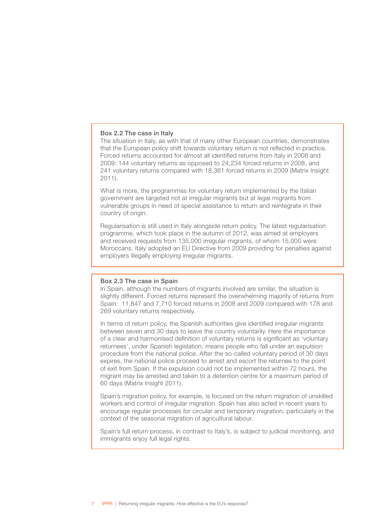#### Box 2.2 The case in Italy

The situation in Italy, as with that of many other European countries, demonstrates that the European policy shift towards voluntary return is not reflected in practice. Forced returns accounted for almost all identified returns from Italy in 2008 and 2009: 144 voluntary returns as opposed to 24,234 forced returns in 2008, and 241 voluntary returns compared with 18,361 forced returns in 2009 (Matrix Insight 2011).

What is more, the programmes for voluntary return implemented by the Italian government are targeted not at irregular migrants but at legal migrants from vulnerable groups in need of special assistance to return and reintegrate in their country of origin.

Regularisation is still used in Italy alongside return policy. The latest regularisation programme, which took place in the autumn of 2012, was aimed at employers and received requests from 135,000 irregular migrants, of whom 15,000 were Moroccans. Italy adopted an EU Directive from 2009 providing for penalties against employers illegally employing irregular migrants.

### Box 2.3 The case in Spain

In Spain, although the numbers of migrants involved are similar, the situation is slightly different. Forced returns represent the overwhelming majority of returns from Spain: 11,847 and 7,710 forced returns in 2008 and 2009 compared with 178 and 269 voluntary returns respectively.

In terms of return policy, the Spanish authorities give identified irregular migrants between seven and 30 days to leave the country voluntarily. Here the importance of a clear and harmonised definition of voluntary returns is significant as 'voluntary returnees', under Spanish legislation, means people who fall under an expulsion procedure from the national police. After the so-called voluntary period of 30 days expires, the national police proceed to arrest and escort the returnee to the point of exit from Spain. If the expulsion could not be implemented within 72 hours, the migrant may be arrested and taken to a detention centre for a maximum period of 60 days (Matrix Insight 2011).

Spain's migration policy, for example, is focused on the return migration of unskilled workers and control of irregular migration. Spain has also acted in recent years to encourage regular processes for circular and temporary migration, particularly in the context of the seasonal migration of agricultural labour.

Spain's full return process, in contrast to Italy's, is subject to judicial monitoring, and immigrants enjoy full legal rights.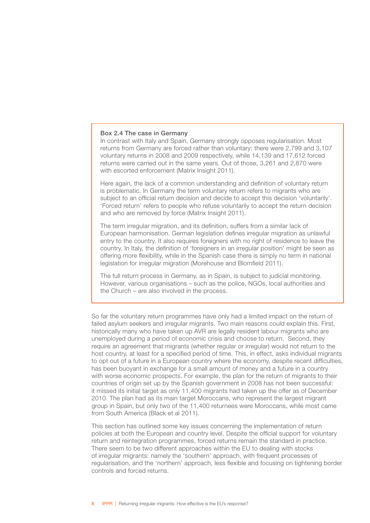#### Box 2.4 The case in Germany

In contrast with Italy and Spain, Germany strongly opposes regularisation. Most returns from Germany are forced rather than voluntary: there were 2,799 and 3,107 voluntary returns in 2008 and 2009 respectively, while 14,139 and 17,612 forced returns were carried out in the same years. Out of those, 3,261 and 2,870 were with escorted enforcement (Matrix Insight 2011).

Here again, the lack of a common understanding and definition of voluntary return is problematic. In Germany the term voluntary return refers to migrants who are subject to an official return decision and decide to accept this decision 'voluntarily'. 'Forced return' refers to people who refuse voluntarily to accept the return decision and who are removed by force (Matrix Insight 2011).

The term irregular migration, and its definition, suffers from a similar lack of European harmonisation. German legislation defines irregular migration as unlawful entry to the country. It also requires foreigners with no right of residence to leave the country. In Italy, the definition of 'foreigners in an irregular position' might be seen as offering more flexibility, while in the Spanish case there is simply no term in national legislation for irregular migration (Morehouse and Blomfield 2011).

The full return process in Germany, as in Spain, is subject to judicial monitoring. However, various organisations – such as the police, NGOs, local authorities and the Church – are also involved in the process.

So far the voluntary return programmes have only had a limited impact on the return of failed asylum seekers and irregular migrants. Two main reasons could explain this. First, historically many who have taken up AVR are legally resident labour migrants who are unemployed during a period of economic crisis and choose to return. Second, they require an agreement that migrants (whether regular or irregular) would not return to the host country, at least for a specified period of time. This, in effect, asks individual migrants to opt out of a future in a European country where the economy, despite recent difficulties, has been buoyant in exchange for a small amount of money and a future in a country with worse economic prospects. For example, the plan for the return of migrants to their countries of origin set up by the Spanish government in 2008 has not been successful: it missed its initial target as only 11,400 migrants had taken up the offer as of December 2010. The plan had as its main target Moroccans, who represent the largest migrant group in Spain, but only two of the 11,400 returnees were Moroccans, while most came from South America (Black et al 2011).

This section has outlined some key issues concerning the implementation of return policies at both the European and country level. Despite the official support for voluntary return and reintegration programmes, forced returns remain the standard in practice. There seem to be two different approaches within the EU to dealing with stocks of irregular migrants: namely the 'southern' approach, with frequent processes of regularisation, and the 'northern' approach, less flexible and focusing on tightening border controls and forced returns.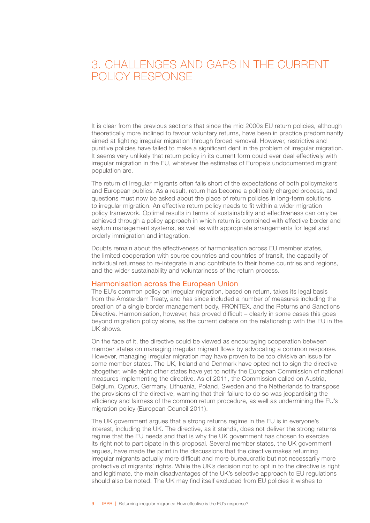### <span id="page-10-0"></span> 3. CHALLENGES AND GAPS IN THE CURRENT POLICY RESPONSE

It is clear from the previous sections that since the mid 2000s EU return policies, although theoretically more inclined to favour voluntary returns, have been in practice predominantly aimed at fighting irregular migration through forced removal. However, restrictive and punitive policies have failed to make a significant dent in the problem of irregular migration. It seems very unlikely that return policy in its current form could ever deal effectively with irregular migration in the EU, whatever the estimates of Europe's undocumented migrant population are.

The return of irregular migrants often falls short of the expectations of both policymakers and European publics. As a result, return has become a politically charged process, and questions must now be asked about the place of return policies in long-term solutions to irregular migration. An effective return policy needs to fit within a wider migration policy framework. Optimal results in terms of sustainability and effectiveness can only be achieved through a policy approach in which return is combined with effective border and asylum management systems, as well as with appropriate arrangements for legal and orderly immigration and integration.

Doubts remain about the effectiveness of harmonisation across EU member states, the limited cooperation with source countries and countries of transit, the capacity of individual returnees to re-integrate in and contribute to their home countries and regions, and the wider sustainability and voluntariness of the return process.

### Harmonisation across the European Union

The EU's common policy on irregular migration, based on return, takes its legal basis from the Amsterdam Treaty, and has since included a number of measures including the creation of a single border management body, FRONTEX, and the Returns and Sanctions Directive. Harmonisation, however, has proved difficult – clearly in some cases this goes beyond migration policy alone, as the current debate on the relationship with the EU in the UK shows.

On the face of it, the directive could be viewed as encouraging cooperation between member states on managing irregular migrant flows by advocating a common response. However, managing irregular migration may have proven to be too divisive an issue for some member states. The UK, Ireland and Denmark have opted not to sign the directive altogether, while eight other states have yet to notify the European Commission of national measures implementing the directive. As of 2011, the Commission called on Austria, Belgium, Cyprus, Germany, Lithuania, Poland, Sweden and the Netherlands to transpose the provisions of the directive, warning that their failure to do so was jeopardising the efficiency and fairness of the common return procedure, as well as undermining the EU's migration policy (European Council 2011).

The UK government argues that a strong returns regime in the EU is in everyone's interest, including the UK. The directive, as it stands, does not deliver the strong returns regime that the EU needs and that is why the UK government has chosen to exercise its right not to participate in this proposal. Several member states, the UK government argues, have made the point in the discussions that the directive makes returning irregular migrants actually more difficult and more bureaucratic but not necessarily more protective of migrants' rights. While the UK's decision not to opt in to the directive is right and legitimate, the main disadvantages of the UK's selective approach to EU regulations should also be noted. The UK may find itself excluded from EU policies it wishes to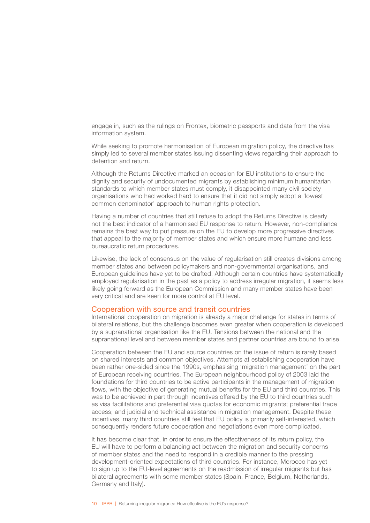<span id="page-11-0"></span>engage in, such as the rulings on Frontex, biometric passports and data from the visa information system.

While seeking to promote harmonisation of European migration policy, the directive has simply led to several member states issuing dissenting views regarding their approach to detention and return.

Although the Returns Directive marked an occasion for EU institutions to ensure the dignity and security of undocumented migrants by establishing minimum humanitarian standards to which member states must comply, it disappointed many civil society organisations who had worked hard to ensure that it did not simply adopt a 'lowest common denominator' approach to human rights protection.

Having a number of countries that still refuse to adopt the Returns Directive is clearly not the best indicator of a harmonised EU response to return. However, non-compliance remains the best way to put pressure on the EU to develop more progressive directives that appeal to the majority of member states and which ensure more humane and less bureaucratic return procedures.

Likewise, the lack of consensus on the value of regularisation still creates divisions among member states and between policymakers and non-governmental organisations, and European guidelines have yet to be drafted. Although certain countries have systematically employed regularisation in the past as a policy to address irregular migration, it seems less likely going forward as the European Commission and many member states have been very critical and are keen for more control at EU level.

#### Cooperation with source and transit countries

International cooperation on migration is already a major challenge for states in terms of bilateral relations, but the challenge becomes even greater when cooperation is developed by a supranational organisation like the EU. Tensions between the national and the supranational level and between member states and partner countries are bound to arise.

Cooperation between the EU and source countries on the issue of return is rarely based on shared interests and common objectives. Attempts at establishing cooperation have been rather one-sided since the 1990s, emphasising 'migration management' on the part of European receiving countries. The European neighbourhood policy of 2003 laid the foundations for third countries to be active participants in the management of migration flows, with the objective of generating mutual benefits for the EU and third countries. This was to be achieved in part through incentives offered by the EU to third countries such as visa facilitations and preferential visa quotas for economic migrants; preferential trade access; and judicial and technical assistance in migration management. Despite these incentives, many third countries still feel that EU policy is primarily self-interested, which consequently renders future cooperation and negotiations even more complicated.

It has become clear that, in order to ensure the effectiveness of its return policy, the EU will have to perform a balancing act between the migration and security concerns of member states and the need to respond in a credible manner to the pressing development-oriented expectations of third countries. For instance, Morocco has yet to sign up to the EU-level agreements on the readmission of irregular migrants but has bilateral agreements with some member states (Spain, France, Belgium, Netherlands, Germany and Italy).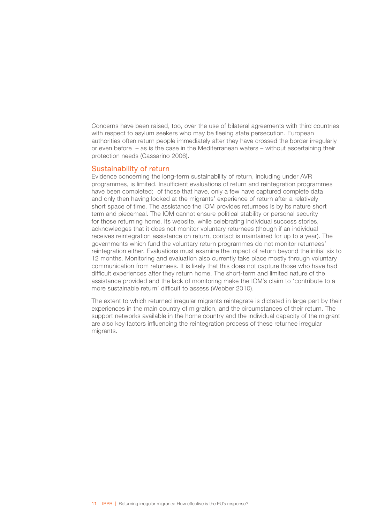<span id="page-12-0"></span>Concerns have been raised, too, over the use of bilateral agreements with third countries with respect to asylum seekers who may be fleeing state persecution. European authorities often return people immediately after they have crossed the border irregularly or even before – as is the case in the Mediterranean waters – without ascertaining their protection needs (Cassarino 2006).

#### Sustainability of return

Evidence concerning the long-term sustainability of return, including under AVR programmes, is limited. Insufficient evaluations of return and reintegration programmes have been completed; of those that have, only a few have captured complete data and only then having looked at the migrants' experience of return after a relatively short space of time. The assistance the IOM provides returnees is by its nature short term and piecemeal. The IOM cannot ensure political stability or personal security for those returning home. Its website, while celebrating individual success stories, acknowledges that it does not monitor voluntary returnees (though if an individual receives reintegration assistance on return, contact is maintained for up to a year). The governments which fund the voluntary return programmes do not monitor returnees' reintegration either. Evaluations must examine the impact of return beyond the initial six to 12 months. Monitoring and evaluation also currently take place mostly through voluntary communication from returnees. It is likely that this does not capture those who have had difficult experiences after they return home. The short-term and limited nature of the assistance provided and the lack of monitoring make the IOM's claim to 'contribute to a more sustainable return' difficult to assess (Webber 2010).

The extent to which returned irregular migrants reintegrate is dictated in large part by their experiences in the main country of migration, and the circumstances of their return. The support networks available in the home country and the individual capacity of the migrant are also key factors influencing the reintegration process of these returnee irregular migrants.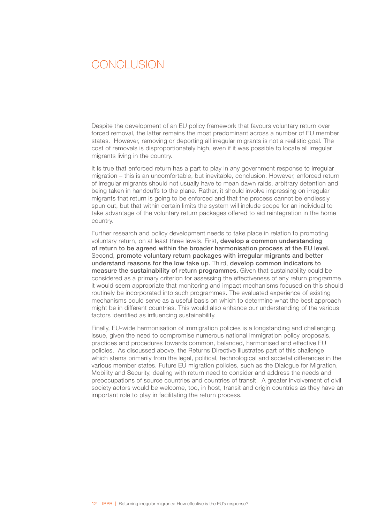### <span id="page-13-0"></span>CONCLUSION

Despite the development of an EU policy framework that favours voluntary return over forced removal, the latter remains the most predominant across a number of EU member states. However, removing or deporting all irregular migrants is not a realistic goal. The cost of removals is disproportionately high, even if it was possible to locate all irregular migrants living in the country.

It is true that enforced return has a part to play in any government response to irregular migration – this is an uncomfortable, but inevitable, conclusion. However, enforced return of irregular migrants should not usually have to mean dawn raids, arbitrary detention and being taken in handcuffs to the plane. Rather, it should involve impressing on irregular migrants that return is going to be enforced and that the process cannot be endlessly spun out, but that within certain limits the system will include scope for an individual to take advantage of the voluntary return packages offered to aid reintegration in the home country.

Further research and policy development needs to take place in relation to promoting voluntary return, on at least three levels. First, develop a common understanding of return to be agreed within the broader harmonisation process at the EU level. Second, promote voluntary return packages with irregular migrants and better understand reasons for the low take up. Third, develop common indicators to measure the sustainability of return programmes. Given that sustainability could be considered as a primary criterion for assessing the effectiveness of any return programme, it would seem appropriate that monitoring and impact mechanisms focused on this should routinely be incorporated into such programmes. The evaluated experience of existing mechanisms could serve as a useful basis on which to determine what the best approach might be in different countries. This would also enhance our understanding of the various factors identified as influencing sustainability.

Finally, EU-wide harmonisation of immigration policies is a longstanding and challenging issue, given the need to compromise numerous national immigration policy proposals, practices and procedures towards common, balanced, harmonised and effective EU policies. As discussed above, the Returns Directive illustrates part of this challenge which stems primarily from the legal, political, technological and societal differences in the various member states. Future EU migration policies, such as the Dialogue for Migration, Mobility and Security, dealing with return need to consider and address the needs and preoccupations of source countries and countries of transit. A greater involvement of civil society actors would be welcome, too, in host, transit and origin countries as they have an important role to play in facilitating the return process.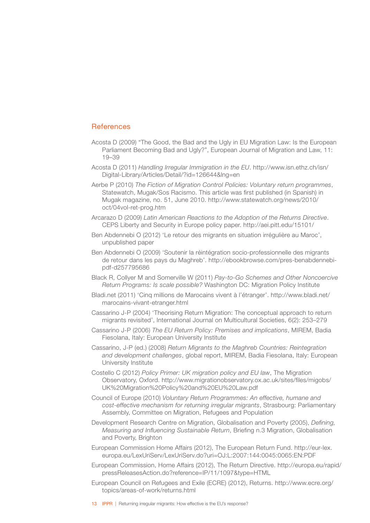### <span id="page-14-0"></span>**References**

- Acosta D (2009) "The Good, the Bad and the Ugly in EU Migration Law: Is the European Parliament Becoming Bad and Ugly?", European Journal of Migration and Law, 11: 19–39
- Acosta D (2011) *Handling Irregular Immigration in the EU*. [http://www.isn.ethz.ch/isn/](http://www.isn.ethz.ch/isn/Digital-Library/Articles/Detail/?id=126644&lng=en) [Digital-Library/Articles/Detail/?id=126644&lng=en](http://www.isn.ethz.ch/isn/Digital-Library/Articles/Detail/?id=126644&lng=en)
- Aerbe P (2010) *The Fiction of Migration Control Policies: Voluntary return programmes*, Statewatch, Mugak/Sos Racismo. This article was first published (in Spanish) in Mugak magazine, no. 51, June 2010. [http://www.statewatch.org/news/2010/](http://www.statewatch.org/news/2010/oct/04vol-ret-prog.htm) [oct/04vol-ret-prog.htm](http://www.statewatch.org/news/2010/oct/04vol-ret-prog.htm)
- Arcarazo D (2009) *Latin American Reactions to the Adoption of the Returns Directive*. CEPS Liberty and Security in Europe policy paper. <http://aei.pitt.edu/15101/>
- Ben Abdennebi O (2012) 'Le retour des migrants en situation irrégulière au Maroc', unpublished paper
- Ben Abdennebi O (2009) 'Soutenir la réintégration socio-professionnelle des migrants de retour dans les pays du Maghreb'. [http://ebookbrowse.com/pres-benabdennebi](http://ebookbrowse.com/pres-benabdennebi-pdf-d257795686)[pdf-d257795686](http://ebookbrowse.com/pres-benabdennebi-pdf-d257795686)
- Black R, Collyer M and Somerville W (2011) *Pay-to-Go Schemes and Other Noncoercive Return Programs: Is scale possible?* Washington DC: Migration Policy Institute
- Bladi.net (2011) 'Cinq millions de Marocains vivent à l'étranger'. [http://www.bladi.net/](http://www.bladi.net/marocains-vivant-etranger.html) [marocains-vivant-etranger.html](http://www.bladi.net/marocains-vivant-etranger.html)
- Cassarino J-P (2004) 'Theorising Return Migration: The conceptual approach to return migrants revisited', International Journal on Multicultural Societies, 6(2): 253–279
- Cassarino J-P (2006) *The EU Return Policy: Premises and implications*, MIREM, Badia Fiesolana, Italy: European University Institute
- Cassarino, J-P (ed.) (2008) *Return Migrants to the Maghreb Countries: Reintegration and development challenges*, global report, MIREM, Badia Fiesolana, Italy: European University Institute
- Costello C (2012) *Policy Primer: UK migration policy and EU law*, The Migration Observatory, Oxford. [http://www.migrationobservatory.ox.ac.uk/sites/files/migobs/](http://www.migrationobservatory.ox.ac.uk/sites/files/migobs/UK%20Migration%20Policy%20and%20EU%20Law.pdf) [UK%20Migration%20Policy%20and%20EU%20Law.pdf](http://www.migrationobservatory.ox.ac.uk/sites/files/migobs/UK%20Migration%20Policy%20and%20EU%20Law.pdf)
- Council of Europe (2010) *Voluntary Return Programmes: An effective, humane and cost-effective mechanism for returning irregular migrants*, Strasbourg: Parliamentary Assembly, Committee on Migration, Refugees and Population
- Development Research Centre on Migration, Globalisation and Poverty (2005), *Defining, Measuring and Influencing Sustainable Return*, Briefing n.3 Migration, Globalisation and Poverty, Brighton
- European Commission Home Affairs (2012), The European Return Fund. [http://eur-lex.](http://eur-lex.europa.eu/LexUriServ/LexUriServ.do?uri=OJ:L:2007:144:0045:0065:EN:PDF) [europa.eu/LexUriServ/LexUriServ.do?uri=OJ:L:2007:144:0045:0065:EN:PDF](http://eur-lex.europa.eu/LexUriServ/LexUriServ.do?uri=OJ:L:2007:144:0045:0065:EN:PDF)
- European Commission, Home Affairs (2012), The Return Directive. [http://europa.eu/rapid/](http://europa.eu/rapid/pressReleasesAction.do?reference=IP/11/1097&type=HTML) [pressReleasesAction.do?reference=IP/11/1097&type=HTML](http://europa.eu/rapid/pressReleasesAction.do?reference=IP/11/1097&type=HTML)
- European Council on Refugees and Exile (ECRE) (2012), Returns. [http://www.ecre.org/](http://www.ecre.org/topics/areas-of-work/returns.html ) [topics/areas-of-work/returns.html](http://www.ecre.org/topics/areas-of-work/returns.html )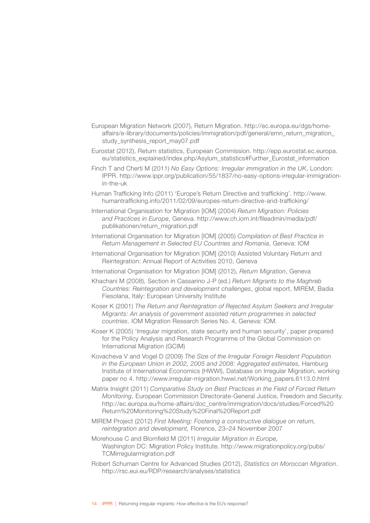- European Migration Network (2007), Return Migration. [http://ec.europa.eu/dgs/home](http://ec.europa.eu/dgs/home-affairs/e-library/documents/policies/immigration/pdf/general/emn_return_migration_study_synthesis_report_may07.pdf)[affairs/e-library/documents/policies/immigration/pdf/general/emn\\_return\\_migration\\_](http://ec.europa.eu/dgs/home-affairs/e-library/documents/policies/immigration/pdf/general/emn_return_migration_study_synthesis_report_may07.pdf) study\_synthesis\_report\_may07.pdf
- Eurostat (2012), Return statistics, European Commission. [http://epp.eurostat.ec.europa.](http://epp.eurostat.ec.europa.eu/statistics_explained/index.php/Asylum_statistics#Further_Eurostat_information) [eu/statistics\\_explained/index.php/Asylum\\_statistics#Further\\_Eurostat\\_information](http://epp.eurostat.ec.europa.eu/statistics_explained/index.php/Asylum_statistics#Further_Eurostat_information)
- Finch T and Cherti M (2011) *No Easy Options: Irregular immigration in the UK*, London: IPPR. [http://www.ippr.org/publication/55/1837/no-easy-options-irregular-immigration](http://www.ippr.org/publication/55/1837/no-easy-options-irregular-immigration-in-the-uk)[in-the-uk](http://www.ippr.org/publication/55/1837/no-easy-options-irregular-immigration-in-the-uk)
- Human Trafficking Info (2011) 'Europe's Return Directive and trafficking'. [http://www.](http://www.humantrafficking.info/2011/02/09/europes-return-directive-and-trafficking/) [humantrafficking.info/2011/02/09/europes-return-directive-and-trafficking/](http://www.humantrafficking.info/2011/02/09/europes-return-directive-and-trafficking/)
- International Organisation for Migration [IOM] (2004) *Return Migration: Policies and Practices in Europe*, Geneva. [http://www.ch.iom.int/fileadmin/media/pdf/](http://www.ch.iom.int/fileadmin/media/pdf/publikationen/return_migration.pdf) [publikationen/return\\_migration.pdf](http://www.ch.iom.int/fileadmin/media/pdf/publikationen/return_migration.pdf)
- International Organisation for Migration [IOM] (2005) *Compilation of Best Practice in Return Management in Selected EU Countries and Romania*, Geneva: IOM
- International Organisation for Migration [IOM] (2010) Assisted Voluntary Return and Reintegration: Annual Report of Activities 2010, Geneva
- International Organisation for Migration [IOM] (2012), *Return Migration*, Geneva
- Khachani M (2008), Section in Cassarino J-P (ed.) *Return Migrants to the Maghreb Countries: Reintegration and development challenges*, global report, MIREM, Badia Fiesolana, Italy: European University Institute
- Koser K (2001) *The Return and Reintegration of Rejected Asylum Seekers and Irregular Migrants: An analysis of government assisted return programmes in selected countries*. IOM Migration Research Series No. 4, Geneva: IOM.
- Koser K (2005) 'Irregular migration, state security and human security', paper prepared for the Policy Analysis and Research Programme of the Global Commission on International Migration (GCIM)
- Kovacheva V and Vogel D (2009) *The Size of the Irregular Foreign Resident Population in the European Union in 2002, 2005 and 2008: Aggregated estimates,* Hamburg Institute of International Economics (HWWI), Database on Irregular Migration, working paper no 4. [http://www.irregular-migration.hwwi.net/Working\\_papers.6113.0.html](http://www.irregular-migration.hwwi.net/Working_papers.6113.0.html)
- Matrix Insight (2011) *Comparative Study on Best Practices in the Field of Forced Return Monitoring*, European Commission Directorate-General Justice, Freedom and Security. [http://ec.europa.eu/home-affairs/doc\\_centre/immigration/docs/studies/Forced%20](http://ec.europa.eu/home-affairs/doc_centre/immigration/docs/studies/Forced%20Return%20Monitoring%20Study%20Final%20Report.pdf) [Return%20Monitoring%20Study%20Final%20Report.pdf](http://ec.europa.eu/home-affairs/doc_centre/immigration/docs/studies/Forced%20Return%20Monitoring%20Study%20Final%20Report.pdf)
- MIREM Project (2012) *First Meeting: Fostering a constructive dialogue on return, reintegration and development,* Florence, 23–24 November 2007
- Morehouse C and Blomfield M (2011) *Irregular Migration in Europe,* Washington DC: Migration Policy Institute. [http://www.migrationpolicy.org/pubs/](http://www.migrationpolicy.org/pubs/TCMirregularmigration.pdf) [TCMirregularmigration.pdf](http://www.migrationpolicy.org/pubs/TCMirregularmigration.pdf)
- Robert Schuman Centre for Advanced Studies (2012), *Statistics on Moroccan Migration*. <http://rsc.eui.eu/RDP/research/analyses/statistics>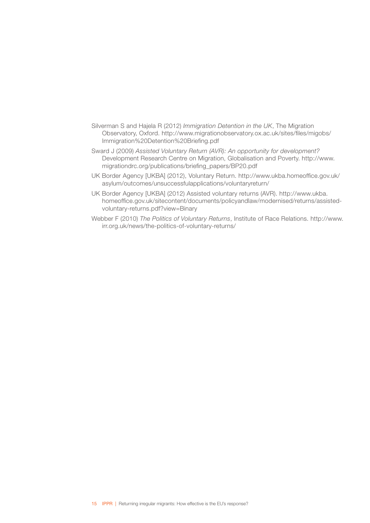- Silverman S and Hajela R (2012) *Immigration Detention in the UK*, The Migration Observatory, Oxford. [http://www.migrationobservatory.ox.ac.uk/sites/files/migobs/](http://www.migrationobservatory.ox.ac.uk/sites/files/migobs/Immigration%20Detention%20Briefing.pdf) [Immigration%20Detention%20Briefing.pdf](http://www.migrationobservatory.ox.ac.uk/sites/files/migobs/Immigration%20Detention%20Briefing.pdf)
- Sward J (2009) *Assisted Voluntary Return (AVR): An opportunity for development?*  Development Research Centre on Migration, Globalisation and Poverty. [http://www.](http://www.migrationdrc.org/publications/briefing_papers/BP20.pdf) [migrationdrc.org/publications/briefing\\_papers/BP20.pdf](http://www.migrationdrc.org/publications/briefing_papers/BP20.pdf)
- UK Border Agency [UKBA] (2012), Voluntary Return. [http://www.ukba.homeoffice.gov.uk/](http://www.ukba.homeoffice.gov.uk/asylum/outcomes/unsuccessfulapplications/voluntaryreturn/) [asylum/outcomes/unsuccessfulapplications/voluntaryreturn/](http://www.ukba.homeoffice.gov.uk/asylum/outcomes/unsuccessfulapplications/voluntaryreturn/)
- UK Border Agency [UKBA] (2012) Assisted voluntary returns (AVR). [http://www.ukba.](http://www.ukba.homeoffice.gov.uk/sitecontent/documents/policyandlaw/modernised/returns/assisted-voluntary-returns.pdf?view=Binary) [homeoffice.gov.uk/sitecontent/documents/policyandlaw/modernised/returns/assisted](http://www.ukba.homeoffice.gov.uk/sitecontent/documents/policyandlaw/modernised/returns/assisted-voluntary-returns.pdf?view=Binary)[voluntary-returns.pdf?view=Binary](http://www.ukba.homeoffice.gov.uk/sitecontent/documents/policyandlaw/modernised/returns/assisted-voluntary-returns.pdf?view=Binary)
- Webber F (2010) *The Politics of Voluntary Returns*, Institute of Race Relations. [http://www.](http://www.irr.org.uk/news/the-politics-of-voluntary-returns/) [irr.org.uk/news/the-politics-of-voluntary-returns/](http://www.irr.org.uk/news/the-politics-of-voluntary-returns/)